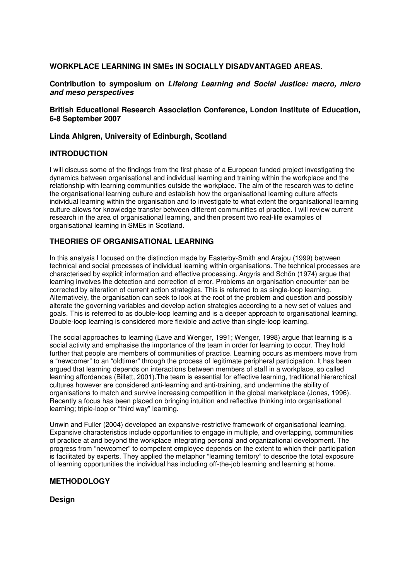## WORKPLACE LEARNING IN SMEs IN SOCIALLY DISADVANTAGED AREAS.

Contribution to symposium on Lifelong Learning and Social Justice: macro, micro and meso perspectives

## British Educational Research Association Conference, London Institute of Education, 6-8 September 2007

## Linda Ahlgren, University of Edinburgh, Scotland

## INTRODUCTION

I will discuss some of the findings from the first phase of a European funded project investigating the dynamics between organisational and individual learning and training within the workplace and the relationship with learning communities outside the workplace. The aim of the research was to define the organisational learning culture and establish how the organisational learning culture affects individual learning within the organisation and to investigate to what extent the organisational learning culture allows for knowledge transfer between different communities of practice. I will review current research in the area of organisational learning, and then present two real-life examples of organisational learning in SMEs in Scotland.

## THEORIES OF ORGANISATIONAL LEARNING

In this analysis I focused on the distinction made by Easterby-Smith and Arajou (1999) between technical and social processes of individual learning within organisations. The technical processes are characterised by explicit information and effective processing. Argyris and Schön (1974) argue that learning involves the detection and correction of error. Problems an organisation encounter can be corrected by alteration of current action strategies. This is referred to as single-loop learning. Alternatively, the organisation can seek to look at the root of the problem and question and possibly alterate the governing variables and develop action strategies according to a new set of values and goals. This is referred to as double-loop learning and is a deeper approach to organisational learning. Double-loop learning is considered more flexible and active than single-loop learning.

The social approaches to learning (Lave and Wenger, 1991; Wenger, 1998) argue that learning is a social activity and emphasise the importance of the team in order for learning to occur. They hold further that people are members of communities of practice. Learning occurs as members move from a "newcomer" to an "oldtimer" through the process of legitimate peripheral participation. It has been argued that learning depends on interactions between members of staff in a workplace, so called learning affordances (Billett, 2001).The team is essential for effective learning, traditional hierarchical cultures however are considered anti-learning and anti-training, and undermine the ability of organisations to match and survive increasing competition in the global marketplace (Jones, 1996). Recently a focus has been placed on bringing intuition and reflective thinking into organisational learning; triple-loop or "third way" learning.

Unwin and Fuller (2004) developed an expansive-restrictive framework of organisational learning. Expansive characteristics include opportunities to engage in multiple, and overlapping, communities of practice at and beyond the workplace integrating personal and organizational development. The progress from "newcomer" to competent employee depends on the extent to which their participation is facilitated by experts. They applied the metaphor "learning territory" to describe the total exposure of learning opportunities the individual has including off-the-job learning and learning at home.

## METHODOLOGY

Design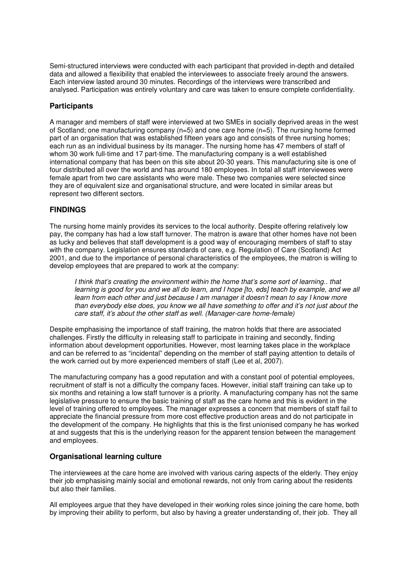Semi-structured interviews were conducted with each participant that provided in-depth and detailed data and allowed a flexibility that enabled the interviewees to associate freely around the answers. Each interview lasted around 30 minutes. Recordings of the interviews were transcribed and analysed. Participation was entirely voluntary and care was taken to ensure complete confidentiality.

## **Participants**

A manager and members of staff were interviewed at two SMEs in socially deprived areas in the west of Scotland; one manufacturing company (n=5) and one care home (n=5). The nursing home formed part of an organisation that was established fifteen years ago and consists of three nursing homes; each run as an individual business by its manager. The nursing home has 47 members of staff of whom 30 work full-time and 17 part-time. The manufacturing company is a well established international company that has been on this site about 20-30 years. This manufacturing site is one of four distributed all over the world and has around 180 employees. In total all staff interviewees were female apart from two care assistants who were male. These two companies were selected since they are of equivalent size and organisational structure, and were located in similar areas but represent two different sectors.

## FINDINGS

The nursing home mainly provides its services to the local authority. Despite offering relatively low pay, the company has had a low staff turnover. The matron is aware that other homes have not been as lucky and believes that staff development is a good way of encouraging members of staff to stay with the company. Legislation ensures standards of care, e.g. Regulation of Care (Scotland) Act 2001, and due to the importance of personal characteristics of the employees, the matron is willing to develop employees that are prepared to work at the company:

I think that's creating the environment within the home that's some sort of learning.. that learning is good for you and we all do learn, and I hope [to, eds] teach by example, and we all learn from each other and just because I am manager it doesn't mean to say I know more than everybody else does, you know we all have something to offer and it's not just about the care staff, it's about the other staff as well. (Manager-care home-female)

Despite emphasising the importance of staff training, the matron holds that there are associated challenges. Firstly the difficulty in releasing staff to participate in training and secondly, finding information about development opportunities. However, most learning takes place in the workplace and can be referred to as "incidental" depending on the member of staff paying attention to details of the work carried out by more experienced members of staff (Lee et al, 2007).

The manufacturing company has a good reputation and with a constant pool of potential employees, recruitment of staff is not a difficulty the company faces. However, initial staff training can take up to six months and retaining a low staff turnover is a priority. A manufacturing company has not the same legislative pressure to ensure the basic training of staff as the care home and this is evident in the level of training offered to employees. The manager expresses a concern that members of staff fail to appreciate the financial pressure from more cost effective production areas and do not participate in the development of the company. He highlights that this is the first unionised company he has worked at and suggests that this is the underlying reason for the apparent tension between the management and employees.

## Organisational learning culture

The interviewees at the care home are involved with various caring aspects of the elderly. They enjoy their job emphasising mainly social and emotional rewards, not only from caring about the residents but also their families.

All employees argue that they have developed in their working roles since joining the care home, both by improving their ability to perform, but also by having a greater understanding of, their job. They all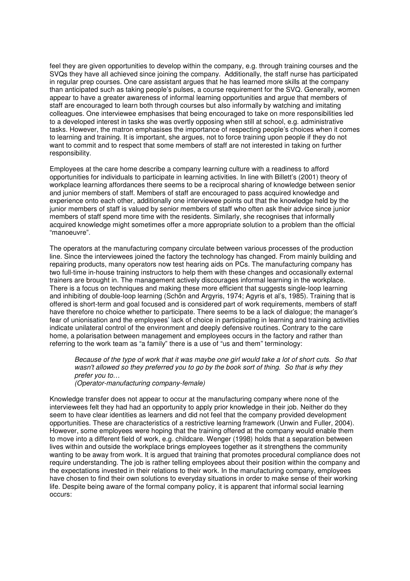feel they are given opportunities to develop within the company, e.g. through training courses and the SVQs they have all achieved since joining the company. Additionally, the staff nurse has participated in regular prep courses. One care assistant argues that he has learned more skills at the company than anticipated such as taking people's pulses, a course requirement for the SVQ. Generally, women appear to have a greater awareness of informal learning opportunities and argue that members of staff are encouraged to learn both through courses but also informally by watching and imitating colleagues. One interviewee emphasises that being encouraged to take on more responsibilities led to a developed interest in tasks she was overtly opposing when still at school, e.g. administrative tasks. However, the matron emphasises the importance of respecting people's choices when it comes to learning and training. It is important, she argues, not to force training upon people if they do not want to commit and to respect that some members of staff are not interested in taking on further responsibility.

Employees at the care home describe a company learning culture with a readiness to afford opportunities for individuals to participate in learning activities. In line with Billett's (2001) theory of workplace learning affordances there seems to be a reciprocal sharing of knowledge between senior and junior members of staff. Members of staff are encouraged to pass acquired knowledge and experience onto each other, additionally one interviewee points out that the knowledge held by the junior members of staff is valued by senior members of staff who often ask their advice since junior members of staff spend more time with the residents. Similarly, she recognises that informally acquired knowledge might sometimes offer a more appropriate solution to a problem than the official "manoeuvre".

The operators at the manufacturing company circulate between various processes of the production line. Since the interviewees joined the factory the technology has changed. From mainly building and repairing products, many operators now test hearing aids on PCs. The manufacturing company has two full-time in-house training instructors to help them with these changes and occasionally external trainers are brought in. The management actively discourages informal learning in the workplace. There is a focus on techniques and making these more efficient that suggests single-loop learning and inhibiting of double-loop learning (Schön and Argyris, 1974; Agyris et al's, 1985). Training that is offered is short-term and goal focused and is considered part of work requirements, members of staff have therefore no choice whether to participate. There seems to be a lack of dialogue; the manager's fear of unionisation and the employees' lack of choice in participating in learning and training activities indicate unilateral control of the environment and deeply defensive routines. Contrary to the care home, a polarisation between management and employees occurs in the factory and rather than referring to the work team as "a family" there is a use of "us and them" terminology:

Because of the type of work that it was maybe one girl would take a lot of short cuts. So that wasn't allowed so they preferred you to go by the book sort of thing. So that is why they prefer you to…

(Operator-manufacturing company-female)

Knowledge transfer does not appear to occur at the manufacturing company where none of the interviewees felt they had had an opportunity to apply prior knowledge in their job. Neither do they seem to have clear identities as learners and did not feel that the company provided development opportunities. These are characteristics of a restrictive learning framework (Unwin and Fuller, 2004). However, some employees were hoping that the training offered at the company would enable them to move into a different field of work, e.g. childcare. Wenger (1998) holds that a separation between lives within and outside the workplace brings employees together as it strengthens the community wanting to be away from work. It is argued that training that promotes procedural compliance does not require understanding. The job is rather telling employees about their position within the company and the expectations invested in their relations to their work. In the manufacturing company, employees have chosen to find their own solutions to everyday situations in order to make sense of their working life. Despite being aware of the formal company policy, it is apparent that informal social learning occurs: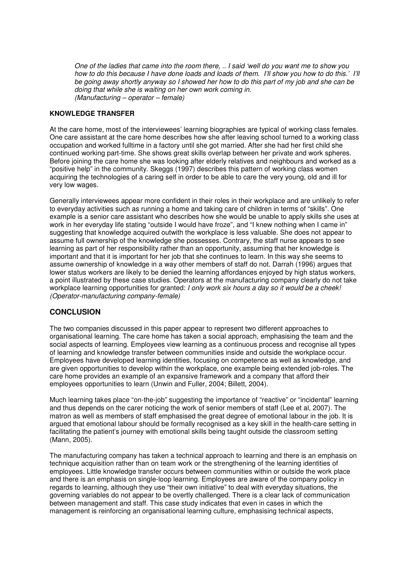One of the ladies that came into the room there, .. I said 'well do you want me to show you how to do this because I have done loads and loads of them. I'll show you how to do this.' I'll be going away shortly anyway so I showed her how to do this part of my job and she can be doing that while she is waiting on her own work coming in. (Manufacturing – operator – female)

#### KNOWLEDGE TRANSFER

At the care home, most of the interviewees' learning biographies are typical of working class females. One care assistant at the care home describes how she after leaving school turned to a working class occupation and worked fulltime in a factory until she got married. After she had her first child she continued working part-time. She shows great skills overlap between her private and work spheres. Before joining the care home she was looking after elderly relatives and neighbours and worked as a "positive help" in the community. Skeggs (1997) describes this pattern of working class women acquiring the technologies of a caring self in order to be able to care the very young, old and ill for very low wages.

Generally interviewees appear more confident in their roles in their workplace and are unlikely to refer to everyday activities such as running a home and taking care of children in terms of "skills". One example is a senior care assistant who describes how she would be unable to apply skills she uses at work in her everyday life stating "outside I would have froze", and "I knew nothing when I came in" suggesting that knowledge acquired outwith the workplace is less valuable. She does not appear to assume full ownership of the knowledge she possesses. Contrary, the staff nurse appears to see learning as part of her responsibility rather than an opportunity, assuming that her knowledge is important and that it is important for her job that she continues to learn. In this way she seems to assume ownership of knowledge in a way other members of staff do not. Darrah (1996) argues that lower status workers are likely to be denied the learning affordances enjoyed by high status workers, a point illustrated by these case studies. Operators at the manufacturing company clearly do not take workplace learning opportunities for granted: I only work six hours a day so it would be a cheek! (Operator-manufacturing company-female)

# **CONCLUSION**

The two companies discussed in this paper appear to represent two different approaches to organisational learning. The care home has taken a social approach, emphasising the team and the social aspects of learning. Employees view learning as a continuous process and recognise all types of learning and knowledge transfer between communities inside and outside the workplace occur. Employees have developed learning identities, focusing on competence as well as knowledge, and are given opportunities to develop within the workplace, one example being extended job-roles. The care home provides an example of an expansive framework and a company that afford their employees opportunities to learn (Unwin and Fuller, 2004; Billett, 2004).

Much learning takes place "on-the-job" suggesting the importance of "reactive" or "incidental" learning and thus depends on the carer noticing the work of senior members of staff (Lee et al, 2007). The matron as well as members of staff emphasised the great degree of emotional labour in the job. It is argued that emotional labour should be formally recognised as a key skill in the health-care setting in facilitating the patient's journey with emotional skills being taught outside the classroom setting (Mann, 2005).

The manufacturing company has taken a technical approach to learning and there is an emphasis on technique acquisition rather than on team work or the strengthening of the learning identities of employees. Little knowledge transfer occurs between communities within or outside the work place and there is an emphasis on single-loop learning. Employees are aware of the company policy in regards to learning, although they use "their own initiative" to deal with everyday situations, the governing variables do not appear to be overtly challenged. There is a clear lack of communication between management and staff. This case study indicates that even in cases in which the management is reinforcing an organisational learning culture, emphasising technical aspects,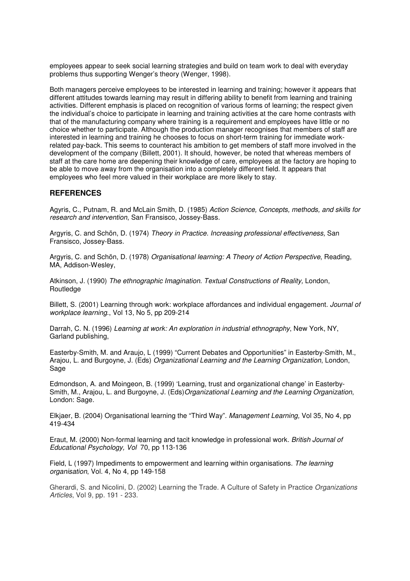employees appear to seek social learning strategies and build on team work to deal with everyday problems thus supporting Wenger's theory (Wenger, 1998).

Both managers perceive employees to be interested in learning and training; however it appears that different attitudes towards learning may result in differing ability to benefit from learning and training activities. Different emphasis is placed on recognition of various forms of learning; the respect given the individual's choice to participate in learning and training activities at the care home contrasts with that of the manufacturing company where training is a requirement and employees have little or no choice whether to participate. Although the production manager recognises that members of staff are interested in learning and training he chooses to focus on short-term training for immediate workrelated pay-back. This seems to counteract his ambition to get members of staff more involved in the development of the company (Billett, 2001). It should, however, be noted that whereas members of staff at the care home are deepening their knowledge of care, employees at the factory are hoping to be able to move away from the organisation into a completely different field. It appears that employees who feel more valued in their workplace are more likely to stay.

## **REFERENCES**

Agyris, C., Putnam, R. and McLain Smith, D. (1985) Action Science, Concepts, methods, and skills for research and intervention, San Fransisco, Jossey-Bass.

Argyris, C. and Schön, D. (1974) Theory in Practice. Increasing professional effectiveness, San Fransisco, Jossey-Bass.

Argyris, C. and Schön, D. (1978) Organisational learning: A Theory of Action Perspective, Reading, MA, Addison-Wesley,

Atkinson, J. (1990) The ethnographic Imagination. Textual Constructions of Reality, London, **Routledge** 

Billett, S. (2001) Learning through work: workplace affordances and individual engagement. Journal of workplace learning., Vol 13, No 5, pp 209-214

Darrah, C. N. (1996) Learning at work: An exploration in industrial ethnography, New York, NY, Garland publishing,

Easterby-Smith, M. and Araujo, L (1999) "Current Debates and Opportunities" in Easterby-Smith, M., Arajou, L. and Burgoyne, J. (Eds) Organizational Learning and the Learning Organization, London, Sage

Edmondson, A. and Moingeon, B. (1999) 'Learning, trust and organizational change' in Easterby-Smith, M., Arajou, L. and Burgoyne, J. (Eds)Organizational Learning and the Learning Organization, London: Sage.

Elkjaer, B. (2004) Organisational learning the "Third Way". Management Learning, Vol 35, No 4, pp 419-434

Eraut, M. (2000) Non-formal learning and tacit knowledge in professional work. British Journal of Educational Psychology, Vol 70, pp 113-136

Field, L (1997) Impediments to empowerment and learning within organisations. The learning organisation, Vol. 4, No 4, pp 149-158

Gherardi, S. and Nicolini, D. (2002) Learning the Trade. A Culture of Safety in Practice Organizations Articles, Vol 9, pp. 191 - 233.